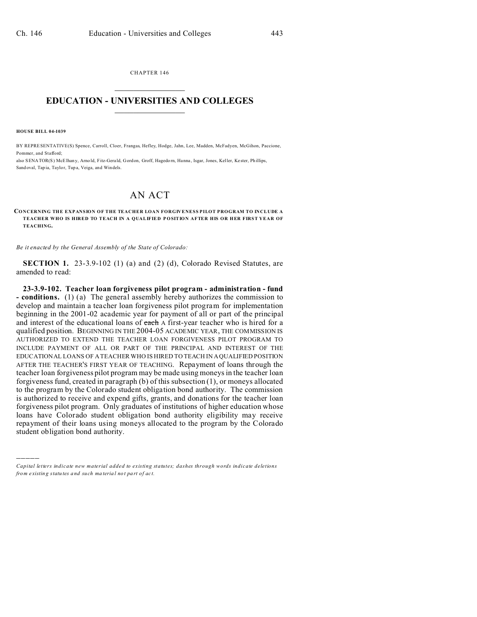CHAPTER 146  $\overline{\phantom{a}}$  , where  $\overline{\phantom{a}}$ 

## **EDUCATION - UNIVERSITIES AND COLLEGES**  $\frac{1}{2}$

**HOUSE BILL 04-1039**

)))))

BY REPRESENTATIVE(S) Spence, Carroll, Cloer, Frangas, Hefley, Hodge, Jahn, Lee, Madden, McFadyen, McGihon, Paccione, Pommer, and Stafford;

also SENATOR(S) McElhany, Arno ld, Fitz-Gerald, Gordon, Groff, Hagedorn, Hanna, Isgar, Jones, Keller, Kester, Phillips, Sand oval, Tap ia, Taylor, Tup a, Veiga, and Windels.

## AN ACT

## **CONCERNING THE EXPANSION OF THE TEACHER LOAN FORGIVENESS PILOT PROGRAM TO INCLUDE A TEACHER WHO IS HIRED TO TEACH IN A QUALIFIED POSITION AFTER HIS OR HER FIRST YEAR OF TEACHING.**

*Be it enacted by the General Assembly of the State of Colorado:*

**SECTION 1.** 23-3.9-102 (1) (a) and (2) (d), Colorado Revised Statutes, are amended to read:

**23-3.9-102. Teacher loan forgiveness pilot program - administration - fund - conditions.** (1) (a) The general assembly hereby authorizes the commission to develop and maintain a teacher loan forgiveness pilot program for implementation beginning in the 2001-02 academic year for payment of all or part of the principal and interest of the educational loans of each A first-year teacher who is hired for a qualified position. BEGINNING IN THE 2004-05 ACADEMIC YEAR, THE COMMISSION IS AUTHORIZED TO EXTEND THE TEACHER LOAN FORGIVENESS PILOT PROGRAM TO INCLUDE PAYMENT OF ALL OR PART OF THE PRINCIPAL AND INTEREST OF THE EDUCATIONAL LOANS OF A TEACHER WHO IS HIRED TO TEACH IN A QUALIFIED POSITION AFTER THE TEACHER'S FIRST YEAR OF TEACHING. Repayment of loans through the teacher loan forgiveness pilot program may be made using moneys in the teacher loan forgiveness fund, created in paragraph (b) of this subsection (1), or moneys allocated to the program by the Colorado student obligation bond authority. The commission is authorized to receive and expend gifts, grants, and donations for the teacher loan forgiveness pilot program. Only graduates of institutions of higher education whose loans have Colorado student obligation bond authority eligibility may receive repayment of their loans using moneys allocated to the program by the Colorado student obligation bond authority.

*Capital letters indicate new material added to existing statutes; dashes through words indicate deletions from e xistin g statu tes a nd such ma teria l no t pa rt of ac t.*